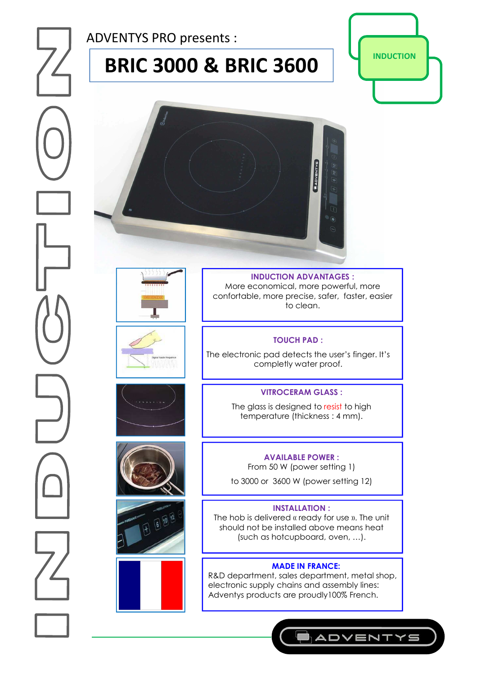ADVENTYS PRO presents :

# **BRIC 3000 & BRIC 3600 | PERIC 3000**

















**INDUCTION ADVANTAGES :**  More economical, more powerful, more confortable, more precise, safer, faster, easier to clean.

# **TOUCH PAD :**

The electronic pad detects the user's finger. It's completly water proof.

# **VITROCERAM GLASS :**

The glass is designed to resist to high temperature (thickness : 4 mm).

### **AVAILABLE POWER :**

From 50 W (power setting 1)

to 3000 or 3600 W (power setting 12)

#### **INSTALLATION :**

The hob is delivered « ready for use ». The unit should not be installed above means heat (such as hotcupboard, oven, …).

# **MADE IN FRANCE:**

R&D department, sales department, metal shop, electronic supply chains and assembly lines: Adventys products are proudly100% French.

**ADVENTYS**